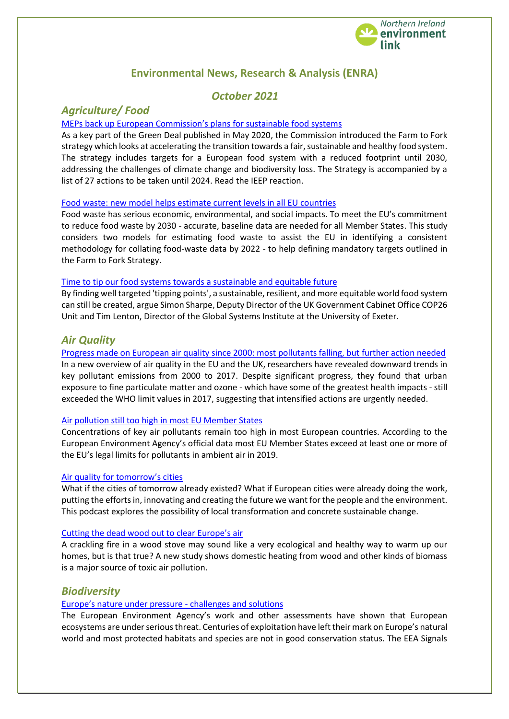

# **Environmental News, Research & Analysis (ENRA)**

# *October 2021*

# *Agriculture/ Food*

### [MEPs back up European Commission's plans for sustainable food systems](https://ieep.eu/news/meps-back-up-european-commission-s-plans-for-sustainable-food-systems?utm_medium=email&utm_campaign=September%202021%20monthly%20newsletter&utm_content=September%202021%20monthly%20newsletter+CID_56a2858db4c7b71a5659ee303d4e34a1&utm_source=Email%20marketing%20software&utm_term=MEPs%20back%20up%20European%20Commissions%20plans%20for%20sustainable%20food%20systems)

As a key part of the Green Deal published in May 2020, the Commission introduced the Farm to Fork strategy which looks at accelerating the transition towards a fair, sustainable and healthy food system. The strategy includes targets for a European food system with a reduced footprint until 2030, addressing the challenges of climate change and biodiversity loss. The Strategy is accompanied by a list of 27 actions to be taken until 2024. Read the IEEP reaction.

#### [Food waste: new model helps estimate current levels in all EU countries](https://ec.europa.eu/environment/integration/research/newsalert/pdf/567na2-en_food-waste-new-model-helps-estimate-current-levels-in-all-eu-countries.pdf)

Food waste has serious economic, environmental, and social impacts. To meet the EU's commitment to reduce food waste by 2030 - accurate, baseline data are needed for all Member States. This study considers two models for estimating food waste to assist the EU in identifying a consistent methodology for collating food-waste data by 2022 - to help defining mandatory targets outlined in the Farm to Fork Strategy.

#### [Time to tip our food systems towards a sustainable and equitable future](https://www.euractiv.com/section/agriculture-food/opinion/time-to-tip-our-food-systems-towards-a-sustainable-and-equitable-future/)

By finding well targeted 'tipping points', a sustainable, resilient, and more equitable world food system can still be created, argue Simon Sharpe, Deputy Director of the UK Government Cabinet Office COP26 Unit and Tim Lenton, Director of the Global Systems Institute at the University of Exeter.

## *Air Quality*

[Progress made on European air quality since 2000: most pollutants falling, but further action needed](https://ec.europa.eu/environment/integration/research/newsalert/pdf/567na3-en_progress-made-on-european-air-quality-since-2000-most-pollutants-falling-but-further-action-needed.pdf) In a new overview of air quality in the EU and the UK, researchers have revealed downward trends in key pollutant emissions from 2000 to 2017. Despite significant progress, they found that urban exposure to fine particulate matter and ozone - which have some of the greatest health impacts - still exceeded the WHO limit values in 2017, suggesting that intensified actions are urgently needed.

#### [Air pollution still too high in most EU Member States](https://www.eea.europa.eu/highlights/air-pollution-still-too-high-1)

Concentrations of key air pollutants remain too high in most European countries. According to the European Environment Agency's official data most EU Member States exceed at least one or more of the EU's legal limits for pollutants in ambient air in 2019.

#### [Air quality for tomorrow's cities](https://meta.eeb.org/2021/09/02/air-quality-for-tomorrows-cities/)

What if the cities of tomorrow already existed? What if European cities were already doing the work, putting the efforts in, innovating and creating the future we want for the people and the environment. This podcast explores the possibility of local transformation and concrete sustainable change.

#### [Cutting the dead wood out to clear Europe's air](https://meta.eeb.org/2021/09/21/cutting-the-dead-wood-out-to-clear-europes-air/)

A crackling fire in a wood stove may sound like a very ecological and healthy way to warm up our homes, but is that true? A new study shows domestic heating from wood and other kinds of biomass is a major source of toxic air pollution.

## *Biodiversity*

## [Europe's nature under pressure](https://www.eea.europa.eu/highlights/europes-nature-under-pressure) - challenges and solutions

The European Environment Agency's work and other assessments have shown that European ecosystems are under serious threat. Centuries of exploitation have left their mark on Europe's natural world and most protected habitats and species are not in good conservation status. The EEA Signals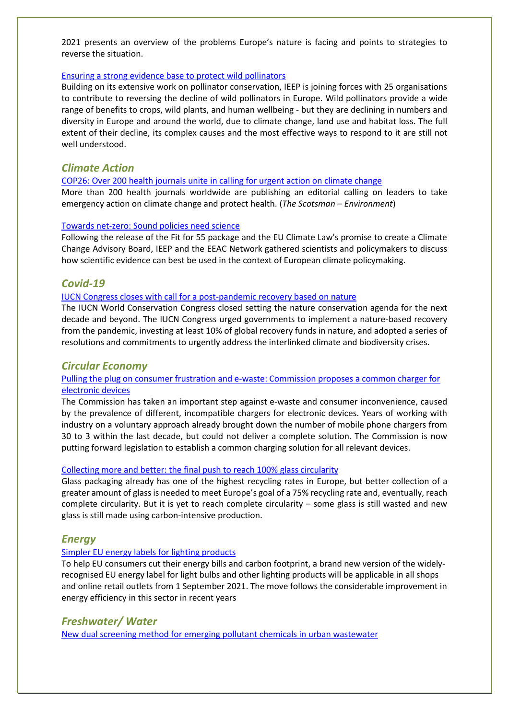2021 presents an overview of the problems Europe's nature is facing and points to strategies to reverse the situation.

#### [Ensuring a strong evidence base to protect wild pollinators](https://ieep.eu/news/ensuring-a-strong-evidence-base-to-protect-wild-pollinators)

Building on its extensive work on pollinator conservation, IEEP is joining forces with 25 organisations to contribute to reversing the decline of wild pollinators in Europe. Wild pollinators provide a wide range of benefits to crops, wild plants, and human wellbeing - but they are declining in numbers and diversity in Europe and around the world, due to climate change, land use and habitat loss. The full extent of their decline, its complex causes and the most effective ways to respond to it are still not well understood.

## *Climate Action*

#### [COP26: Over 200 health journals unite in calling for urgent action on climate change](https://www.scotsman.com/news/environment/cop26-over-200-health-journals-unite-in-calling-for-urgent-action-on-climate-change-3371925)

More than 200 health journals worldwide are publishing an editorial calling on leaders to take emergency action on climate change and protect health. (*The Scotsman – Environment*)

#### [Towards net-zero: Sound policies need science](https://ieep.eu/news/towards-net-zero-sound-policies-need-science?utm_medium=email&utm_campaign=September%202021%20monthly%20newsletter&utm_content=September%202021%20monthly%20newsletter+CID_56a2858db4c7b71a5659ee303d4e34a1&utm_source=Email%20marketing%20software&utm_term=owards%20net-zero%20Sound%20policies%20need%20science)

Following the release of the Fit for 55 package and the EU Climate Law's promise to create a Climate Change Advisory Board, IEEP and the EEAC Network gathered scientists and policymakers to discuss how scientific evidence can best be used in the context of European climate policymaking.

## *Covid-19*

#### [IUCN Congress closes with call for a post-pandemic recovery based on nature](https://www.iucn.org/news/secretariat/202109/iucn-congress-closes-call-a-post-pandemic-recovery-based-nature)

The IUCN World Conservation Congress closed setting the nature conservation agenda for the next decade and beyond. The IUCN Congress urged governments to implement a nature-based recovery from the pandemic, investing at least 10% of global recovery funds in nature, and adopted a series of resolutions and commitments to urgently address the interlinked climate and biodiversity crises.

## *Circular Economy*

### [Pulling the plug on consumer frustration and e-waste: Commission proposes a common charger for](https://ec.europa.eu/commission/presscorner/detail/en/IP_21_4613)  [electronic devices](https://ec.europa.eu/commission/presscorner/detail/en/IP_21_4613)

The Commission has taken an important step against e-waste and consumer inconvenience, caused by the prevalence of different, incompatible chargers for electronic devices. Years of working with industry on a voluntary approach already brought down the number of mobile phone chargers from 30 to 3 within the last decade, but could not deliver a complete solution. The Commission is now putting forward legislation to establish a common charging solution for all relevant devices.

#### [Collecting more and better: the final push to reach 100% glass circularity](https://www.euractiv.com/section/energy-environment/news/collecting-more-and-better-the-final-push-to-reach-100-glass-circularity/)

Glass packaging already has one of the highest recycling rates in Europe, but better collection of a greater amount of glass is needed to meet Europe's goal of a 75% recycling rate and, eventually, reach complete circularity. But it is yet to reach complete circularity – some glass is still wasted and new glass is still made using carbon-intensive production.

## *Energy*

#### [Simpler EU energy labels for lighting products](https://ec.europa.eu/commission/presscorner/detail/en/IP_21_4484)

To help EU consumers cut their energy bills and carbon footprint, a brand new version of the widelyrecognised EU energy label for light bulbs and other lighting products will be applicable in all shops and online retail outlets from 1 September 2021. The move follows the considerable improvement in energy efficiency in this sector in recent years

## *Freshwater/ Water*

[New dual screening method for emerging pollutant chemicals in urban wastewater](https://ec.europa.eu/environment/integration/research/newsalert/pdf/567na4-en_new-dual-screening-method-for-emerging-pollutant-chemicals-in-urban-wastewater-lyon-france.pdf)